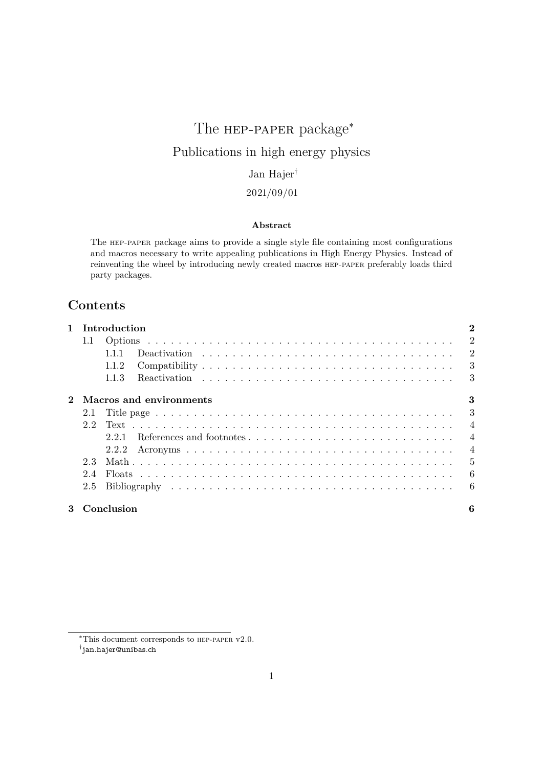# The **нер-рарек** package<sup>\*</sup> Publications in high energy physics Jan Hajer†

# 2021/09/01

# **Abstract**

The hep-paper package aims to provide a single style file containing most configurations and macros necessary to write appealing publications in High Energy Physics. Instead of reinventing the wheel by introducing newly created macros hep-paper preferably loads third party packages.

# **Contents**

| 1 Introduction |                           |   |  |
|----------------|---------------------------|---|--|
| 1.1            |                           |   |  |
|                | 1.1.1                     |   |  |
|                | 1.1.2                     |   |  |
|                | 1.1.3                     |   |  |
|                | 2 Macros and environments | 3 |  |
|                |                           |   |  |
|                |                           |   |  |
|                |                           |   |  |
|                |                           |   |  |
| 2.3            |                           |   |  |
| 2.4            |                           |   |  |
|                |                           |   |  |
|                | 3 Conclusion              | 6 |  |

<sup>∗</sup>This document corresponds to hep-paper v2.0.

<sup>†</sup> [jan.hajer@unibas.ch](mailto:jan.hajer@unibas.ch)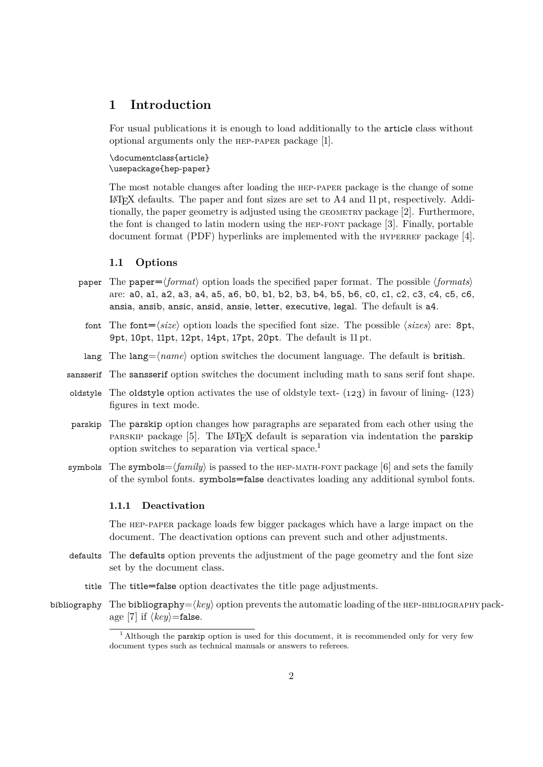# <span id="page-1-6"></span><span id="page-1-0"></span>**1 Introduction**

For usual publications it is enough to load additionally to the article class without optional arguments only the hep-paper package [\[1\]](#page-6-0).

\documentclass{article} \usepackage{hep-paper}

<span id="page-1-5"></span>The most notable changes after loading the hep-paper package is the change of some  $\Delta E$ <sub>TEX</sub> defaults. The paper and font sizes are set to A4 and 11 pt, respectively. Additionally, the paper geometry is adjusted using the geometry package [\[2\]](#page-6-1). Furthermore, the font is changed to latin modern using the hep-font package [\[3\]](#page-6-2). Finally, portable document format (PDF) hyperlinks are implemented with the  $HYPERREF$  package [\[4\]](#page-6-3).

# <span id="page-1-1"></span>**1.1 Options**

- paper The paper= $\langle format \rangle$  option loads the specified paper format. The possible  $\langle format \rangle$ are: a0, a1, a2, a3, a4, a5, a6, b0, b1, b2, b3, b4, b5, b6, c0, c1, c2, c3, c4, c5, c6, ansia, ansib, ansic, ansid, ansie, letter, executive, legal. The default is a4.
	- font The font= $\langle size \rangle$  option loads the specified font size. The possible  $\langle sizes \rangle$  are: 8pt, 9pt, 10pt, 11pt, 12pt, 14pt, 17pt, 20pt. The default is 11 pt.
	- lang The lang= $\langle name \rangle$  option switches the document language. The default is british.
- sansserif The sansserif option switches the document including math to sans serif font shape.
- oldstyle The oldstyle option activates the use of oldstyle text- $(123)$  in favour of lining- $(123)$ figures in text mode.
- parskip The parskip option changes how paragraphs are separated from each other using the parskip package [\[5\]](#page-6-4). The LATEX default is separation via indentation the parskip option switches to separation via vertical space.[1](#page-1-3)
- symbols The symbols= $\langle family \rangle$  is passed to the HEP-MATH-FONT package [\[6\]](#page-6-5) and sets the family of the symbol fonts. symbols=false deactivates loading any additional symbol fonts.

#### <span id="page-1-4"></span><span id="page-1-2"></span>**1.1.1 Deactivation**

The hep-paper package loads few bigger packages which have a large impact on the document. The deactivation options can prevent such and other adjustments.

- defaults The defaults option prevents the adjustment of the page geometry and the font size set by the document class.
	- title The title=false option deactivates the title page adjustments.
- bibliography The bibliography= $\langle key \rangle$  option prevents the automatic loading of the HEP-BIBLIOGRAPHY pack-age [\[7\]](#page-6-6) if  $\langle key \rangle$ =false.

<span id="page-1-3"></span><sup>&</sup>lt;sup>[1](#page-1-4)</sup> Although the parskip option is used for this document, it is recommended only for very few document types such as technical manuals or answers to referees.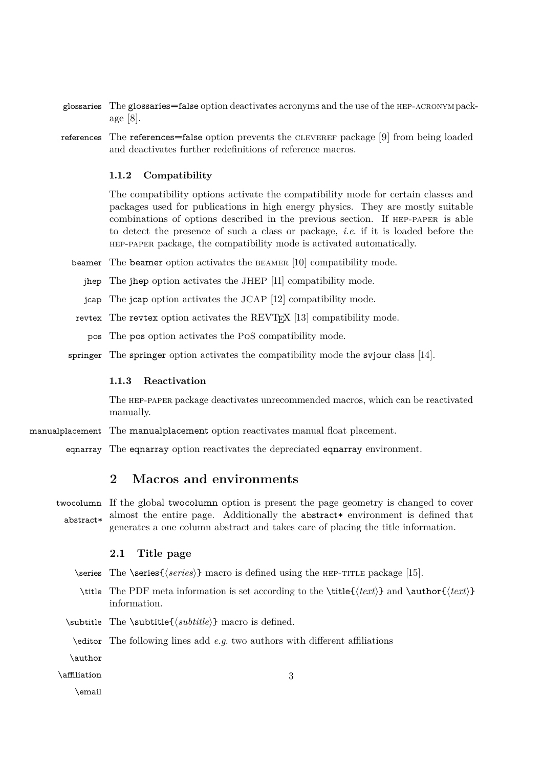- <span id="page-2-4"></span>glossaries The glossaries=false option deactivates acronyms and the use of the hep-acronympackage [\[8\]](#page-6-7).
- references The references=false option prevents the CLEVEREF package [\[9\]](#page-6-8) from being loaded and deactivates further redefinitions of reference macros.

#### <span id="page-2-0"></span>**1.1.2 Compatibility**

The compatibility options activate the compatibility mode for certain classes and packages used for publications in high energy physics. They are mostly suitable combinations of options described in the previous section. If hep-paper is able to detect the presence of such a class or package, *i*.*e*. if it is loaded before the hep-paper package, the compatibility mode is activated automatically.

- beamer The beamer option activates the beamer [\[10\]](#page-6-9) compatibility mode.
	- jhep The jhep option activates the JHEP [\[11\]](#page-6-10) compatibility mode.
	- jcap The jcap option activates the JCAP [\[12\]](#page-6-11) compatibility mode.
- revtex The revtex option activates the REVTEX [\[13\]](#page-6-12) compatibility mode.
	- pos The pos option activates the PoS compatibility mode.
- springer The springer option activates the compatibility mode the svjour class [\[14\]](#page-6-13).

#### <span id="page-2-1"></span>**1.1.3 Reactivation**

The hep-paper package deactivates unrecommended macros, which can be reactivated manually.

- manualplacement The manualplacement option reactivates manual float placement.
	- eqnarray The eqnarray option reactivates the depreciated eqnarray environment.

# <span id="page-2-2"></span>**2 Macros and environments**

twocolumn If the global twocolumn option is present the page geometry is changed to cover abstract\* almost the entire page. Additionally the abstract\* environment is defined that generates a one column abstract and takes care of placing the title information.

## <span id="page-2-3"></span>**2.1 Title page**

- \series The \series{*\series*}} macro is defined using the HEP-TITLE package [\[15\]](#page-6-14).
	- \title The [PDF](#page-1-5) meta information is set according to the \title{ $\text{text}\}$  and \author{ $\text{text}\}$ } information.
- \subtitle The \subtitle{ $\substack{\text{ell}}$ } macro is defined.
	- \editor The following lines add *e*.*g*. two authors with different affiliations

\author

\affiliation

\email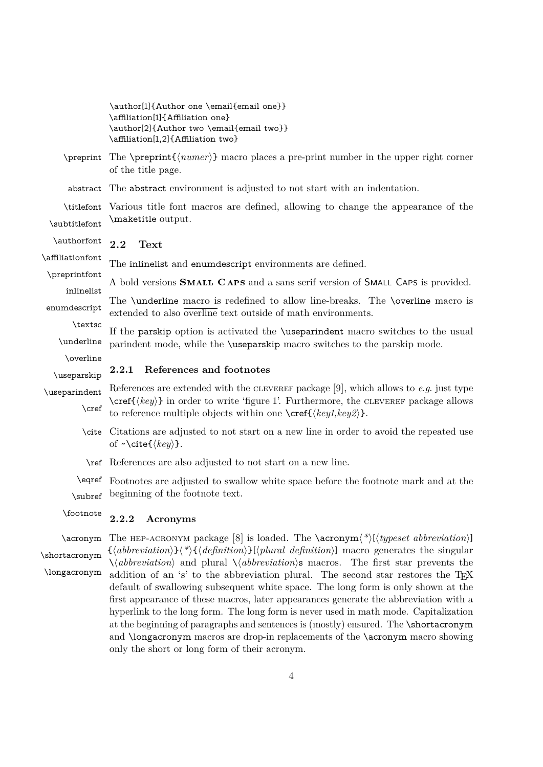<span id="page-3-0"></span>

|                             | \author[1]{Author one \email{email one}}<br>\affiliation[1]{Affiliation one}<br>\author[2]{Author two \email{email two}}<br>\affiliation[1,2]{Affiliation two}                                                                                                    |
|-----------------------------|-------------------------------------------------------------------------------------------------------------------------------------------------------------------------------------------------------------------------------------------------------------------|
| \preprint                   | The $\preceq$ matrix $\{\text{number}\}\$ matro places a pre-print number in the upper right corner<br>of the title page.                                                                                                                                         |
| abstract                    | The abstract environment is adjusted to not start with an indentation.                                                                                                                                                                                            |
| \titlefont<br>\subtitlefont | Various title font macros are defined, allowing to change the appearance of the<br>\maketitle output.                                                                                                                                                             |
| \authorfont                 | 2.2<br>Text                                                                                                                                                                                                                                                       |
| \affiliationfont            | The inlinelist and enumdescript environments are defined.                                                                                                                                                                                                         |
| \preprintfont<br>inlinelist | A bold versions <b>SMALL CAPS</b> and a sans serif version of <b>SMALL CAPS</b> is provided.                                                                                                                                                                      |
| enumdescript                | The \underline macro is redefined to allow line-breaks. The \overline macro is<br>extended to also overline text outside of math environments.                                                                                                                    |
| \textsc<br>\underline       | If the parskip option is activated the <i>suseparindent</i> macro switches to the usual<br>parindent mode, while the <i>suseparskip</i> macro switches to the parskip mode.                                                                                       |
| \overline<br>\useparskip    | References and footnotes<br>2.2.1                                                                                                                                                                                                                                 |
| \useparindent<br>$\cref$    | References are extended with the CLEVEREF package [9], which allows to $e.g.$ just type<br>$\csc\{key\}$ in order to write 'figure 1'. Furthermore, the CLEVEREF package allows<br>to reference multiple objects within one $\cref(\langle key1, key2 \rangle)$ . |
|                             | \cite Citations are adjusted to not start on a new line in order to avoid the repeated use<br>of $\sim \text{cite}(\langle key \rangle)$ .                                                                                                                        |
|                             | \ref References are also adjusted to not start on a new line.                                                                                                                                                                                                     |
|                             | \eqref Footnotes are adjusted to swallow white space before the footnote mark and at the                                                                                                                                                                          |
| \subref                     | beginning of the footnote text.                                                                                                                                                                                                                                   |

#### <span id="page-3-2"></span><span id="page-3-1"></span>\footnote **2.2.2 Acronyms**

\acronym The HEP-ACRONYM package [\[8\]](#page-6-7) is loaded. The \acronym<sup>{\*</sup>)[ $\langle type set\; abbreviation \rangle$ ] \shortacronym \longacronym  $\{\langle abbreviation \rangle\}\langle*\rangle$  $\{\langle definition \rangle\}$ [ $\langle$ *plural definition*)] macro generates the singular  $\setminus \langle abbreviation \rangle$  and plural  $\setminus \langle abbreviation \rangle$ s macros. The first star prevents the addition of an 's' to the abbreviation plural. The second star restores the TEX default of swallowing subsequent white space. The long form is only shown at the first appearance of these macros, later appearances generate the abbreviation with a hyperlink to the long form. The long form is never used in math mode. Capitalization at the beginning of paragraphs and sentences is (mostly) ensured. The \shortacronym and \longacronym macros are drop-in replacements of the \acronym macro showing only the short or long form of their acronym.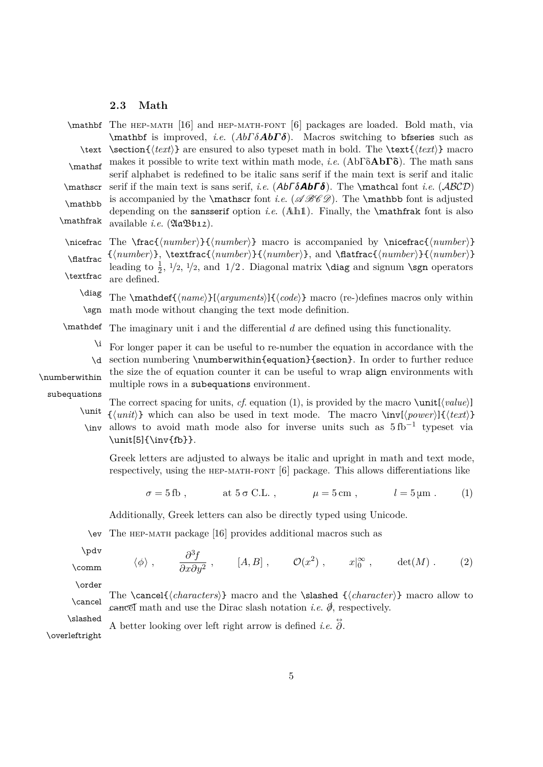# <span id="page-4-2"></span><span id="page-4-0"></span>**2.3 Math**

 $\mathbf{ The HEP-MATH}$  [\[16\]](#page-7-0) and HEP-MATH-FONT [\[6\]](#page-6-5) packages are loaded. Bold math, via \mathbf is improved, *i*.*e*. (*AbΓ δAbΓ δ*). Macros switching to bfseries such as \text \section{ $\text{text}$ } are ensured to also typeset math in bold. The \text{ $\text{text}$ } macro makes it possible to write text within math mode, *<sup>i</sup>*.*e*. (AbΓδ**Ab**Γδ). The math sans \mathsf serif alphabet is redefined to be italic sans serif if the main text is serif and italic  $\mathcal{A}b\Gamma\delta$ . The \mathcal font *i.e.* (*ABCD*) \mathbb is accompanied by the \mathscr font *i.e.* ( $\mathscr{A}\mathscr{B}\mathscr{C}$ ). The \mathbb font is adjusted depending on the sansserif option *i*.*e*. (Ah1). Finally, the \mathfrak font is also \mathfrak available *i*.*e*. (AaBb12).

 $\n\in \frac{\{number\}}{\{number\}}$  macro is accompanied by  $\n\in \frac{\{number\}}{\}$ \flatfrac \textfrac  $\{\langle number \rangle\}, \text{trans}(\langle number \rangle, \mathcal{H}(\langle number \rangle)$ , and  $\mathcal{H}(\langle number \rangle)$ leading to  $\frac{1}{2}$ ,  $1/2$ ,  $1/2$ , and  $1/2$ . Diagonal matrix **\diag** and signum **\sgn** operators are defined.

\diag \sgn The  $\mathcal{f}(name)\}\langle code)$  macro (re-)defines macros only within math mode without changing the text mode definition.

\mathdef The imaginary unit i and the differential *d* are defined using this functionality.

\i \d For longer paper it can be useful to re-number the equation in accordance with the section numbering \numberwithin{equation}{section}. In order to further reduce

\numberwithin

the size the of equation counter it can be useful to wrap align environments with multiple rows in a subequations environment.

subequations

The correct spacing for units, *cf.* [equation \(1\),](#page-4-1) is provided by the macro  $\unit[\langle value \rangle]$ \unit \inv  $\{\langle unit \rangle\}$  which can also be used in text mode. The macro  $\infty(\text{power})\}\{\langle text \rangle\}$ allows to avoid math mode also for inverse units such as  $5$  fb<sup>-1</sup> typeset via \unit[5]{\inv{fb}}.

Greek letters are adjusted to always be italic and upright in math and text mode, respectively, using the hep-math-font [\[6\]](#page-6-5) package. This allows differentiations like

<span id="page-4-1"></span> $\sigma = 5$  fb, at  $5 \sigma$  C.L.,  $\mu = 5$  cm,  $l = 5 \mu$ m *.* (1)

Additionally, Greek letters can also be directly typed using Unicode.

\ev The hep-math package [\[16\]](#page-7-0) provides additional macros such as

\pdv

\comm  $\langle \phi \rangle$ ,  $\frac{\partial^3 f}{\partial \phi^2}$  $\frac{\partial f}{\partial x \partial y^2}$ , [*A, B*],  $\mathcal{O}(x^2)$ ,  $x|_0^\infty$ , det(*M*). (2)

\order

The  $\cancel {\langle characters \rangle}$  macro and the  $\sl{character}$  macro allow to  $\mathcal{L}$  cancel math and use the Dirac slash notation *i.e.*  $\hat{\phi}$ , respectively.

\slashed

A better looking over left right arrow is defined *i.e.*  $\ddot{\partial}$ .

\overleftright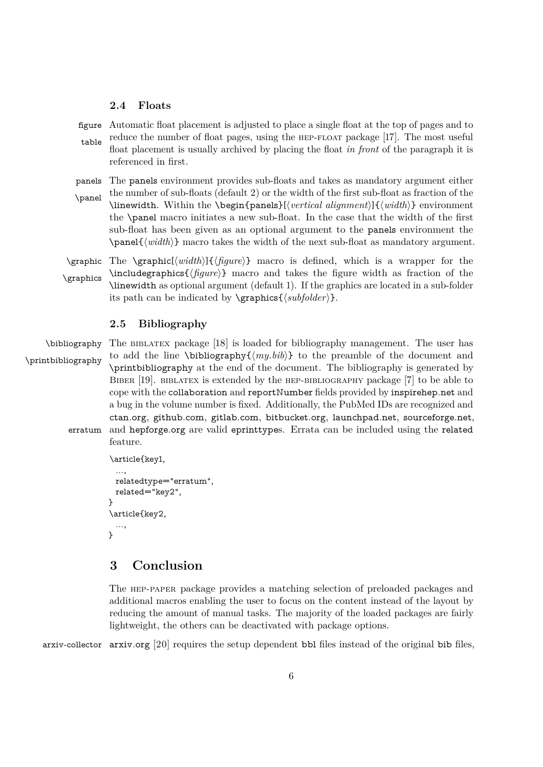# <span id="page-5-3"></span><span id="page-5-0"></span>**2.4 Floats**

figure Automatic float placement is adjusted to place a single float at the top of pages and to table reduce the number of float pages, using the hep-float package [\[17\]](#page-7-1). The most useful float placement is usually archived by placing the float *in front* of the paragraph it is referenced in first.

panels The panels environment provides sub-floats and takes as mandatory argument either \panel the number of sub-floats (default 2) or the width of the first sub-float as fraction of the \linewidth. Within the \begin{panels}[h*vertical alignment*i]{h*width*i} environment the \panel macro initiates a new sub-float. In the case that the width of the first sub-float has been given as an optional argument to the panels environment the  $\text{parent}\{\text{width}\}$  macro takes the width of the next sub-float as mandatory argument.

 $\langle$   $\frac{h}{h}\$ { $\langle$ *figure*}} macro is defined, which is a wrapper for the \graphics \includegraphics { $\{figure\}$ } macro and takes the figure width as fraction of the \linewidth as optional argument (default 1). If the graphics are located in a sub-folder its path can be indicated by  $\sqrt{\frac{subfolder}}$ .

# <span id="page-5-1"></span>**2.5 Bibliography**

\bibliography The BIBLATEX package [\[18\]](#page-7-2) is loaded for bibliography management. The user has \printbibliography to add the line \bibliography $\{(my.bib)\}$  to the preamble of the document and \printbibliography at the end of the document. The bibliography is generated by BIBER [\[19\]](#page-7-3). BIBLATEX is extended by the HEP-BIBLIOGRAPHY package [\[7\]](#page-6-6) to be able to cope with the collaboration and reportNumber fields provided by [inspirehep.net](https://inspirehep.net) and a bug in the volume number is fixed. Additionally, the PubMed IDs are recognized and [ctan.org](https://ctan.org), [github.com](https://github.com), [gitlab.com](https://gitlab.com), [bitbucket.org](https://bitbucket.org), [launchpad.net](https://www.launchpad.net), [sourceforge.net](https://sourceforge.net), erratum and [hepforge.org](https://hepforge.org) are valid eprinttypes. Errata can be included using the related feature.

```
\article{key1,
  ...,
 relatedtype="erratum",
 related="key2",
}
\article{key2,
  ...,
}
```
# <span id="page-5-2"></span>**3 Conclusion**

The hep-paper package provides a matching selection of preloaded packages and additional macros enabling the user to focus on the content instead of the layout by reducing the amount of manual tasks. The majority of the loaded packages are fairly lightweight, the others can be deactivated with package options.

arxiv-collector arxiv.org [\[20\]](#page-7-4) requires the setup dependent bbl files instead of the original bib files,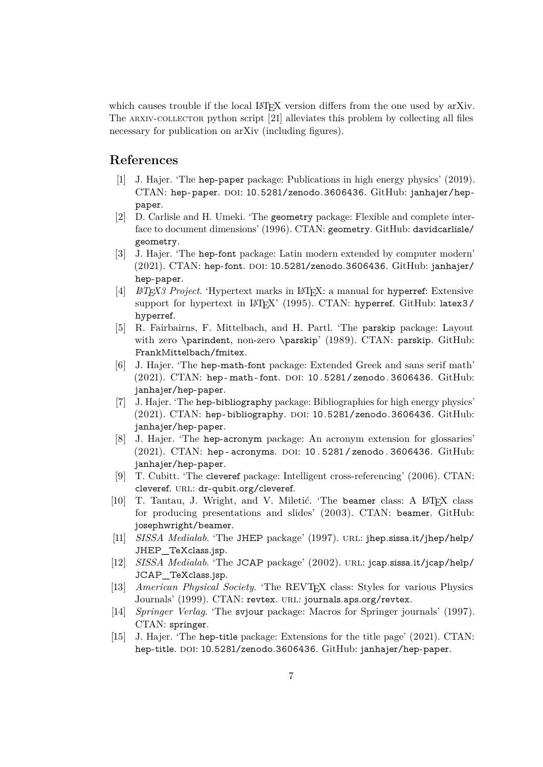<span id="page-6-15"></span>which causes trouble if the local LATEX version differs from the one used by arXiv. The ARXIV-COLLECTOR python script [\[21\]](#page-7-5) alleviates this problem by collecting all files necessary for publication on arXiv (including figures).

# **References**

- <span id="page-6-0"></span>[\[1\]](#page-1-6) J. Hajer. 'The hep-paper package: Publications in high energy physics' (2019). CTAN: [hep-paper](https://ctan.org/pkg/hep-paper). doi: [10.5281/zenodo.3606436](https://doi.org/10.5281/zenodo.3606436). GitHub: [janhajer/hep](https://github.com/janhajer/hep-paper)[paper](https://github.com/janhajer/hep-paper).
- <span id="page-6-1"></span>[\[2\]](#page-1-6) D. Carlisle and H. Umeki. 'The geometry package: Flexible and complete interface to document dimensions' (1996). CTAN: [geometry](https://ctan.org/pkg/geometry). GitHub: [davidcarlisle/](https://github.com/davidcarlisle/geometry) [geometry](https://github.com/davidcarlisle/geometry).
- <span id="page-6-2"></span>[\[3\]](#page-1-6) J. Hajer. 'The hep-font package: Latin modern extended by computer modern'  $(2021)$ . CTAN: [hep-font](https://ctan.org/pkg/hep-font). DOI: [10.5281/zenodo.3606436](https://doi.org/10.5281/zenodo.3606436). GitHub: [janhajer/](https://github.com/janhajer/hep-paper) [hep-paper](https://github.com/janhajer/hep-paper).
- <span id="page-6-3"></span>[\[4\]](#page-1-6) *LATEX3 Project*. 'Hypertext marks in LATEX: a manual for hyperref: Extensive support for hypertext in LAT<sub>E</sub>X' (1995). CTAN: [hyperref](https://ctan.org/pkg/hyperref). GitHub: [latex3/](https://github.com/latex3/hyperref) [hyperref](https://github.com/latex3/hyperref).
- <span id="page-6-4"></span>[\[5\]](#page-1-6) R. Fairbairns, F. Mittelbach, and H. Partl. 'The parskip package: Layout with zero \parindent, non-zero \parskip' (1989). CTAN: [parskip](https://ctan.org/pkg/parskip). GitHub: [FrankMittelbach/fmitex](https://github.com/FrankMittelbach/fmitex).
- <span id="page-6-5"></span>[\[6\]](#page-1-6) J. Hajer. 'The hep-math-font package: Extended Greek and sans serif math' (2021). CTAN: hep-math-font. DOI: 10.5281/zenodo.3606436. GitHub: [janhajer/hep-paper](https://github.com/janhajer/hep-paper).
- <span id="page-6-6"></span>[\[7\]](#page-1-6) J. Hajer. 'The hep-bibliography package: Bibliographies for high energy physics'  $(2021)$ . CTAN: [hep-bibliography](https://ctan.org/pkg/hep-bibliography). DOI: [10.5281/zenodo.3606436](https://doi.org/10.5281/zenodo.3606436). GitHub: [janhajer/hep-paper](https://github.com/janhajer/hep-paper).
- <span id="page-6-7"></span>[\[8\]](#page-2-4) J. Hajer. 'The hep-acronym package: An acronym extension for glossaries'  $(2021)$ . CTAN: [hep - acronyms](https://ctan.org/pkg/hep-acronyms). DOI: 10.5281 [/ zenodo .](https://doi.org/10.5281/zenodo.3606436) 3606436. GitHub: [janhajer/hep-paper](https://github.com/janhajer/hep-paper).
- <span id="page-6-8"></span>[\[9\]](#page-2-4) T. Cubitt. 'The cleveref package: Intelligent cross-referencing' (2006). CTAN: [cleveref](https://ctan.org/pkg/cleveref). URL: [dr-qubit.org/cleveref](http://dr-qubit.org/cleveref).
- <span id="page-6-9"></span>[\[10\]](#page-2-4) T. Tantau, J. Wright, and V. Miletić. 'The beamer class: A LATEX class for producing presentations and slides' (2003). CTAN: [beamer](https://ctan.org/pkg/beamer). GitHub: [josephwright/beamer](https://github.com/josephwright/beamer).
- <span id="page-6-10"></span>[\[11\]](#page-2-4) *SISSA Medialab*. 'The JHEP package' (1997). url: [jhep.sissa.it/jhep/help/](https://jhep.sissa.it/jhep/help/JHEP_TeXclass.jsp) [JHEP\\_TeXclass.jsp](https://jhep.sissa.it/jhep/help/JHEP_TeXclass.jsp).
- <span id="page-6-11"></span>[\[12\]](#page-2-4) *SISSA Medialab*. 'The JCAP package' (2002). URL: [jcap.sissa.it/jcap/help/](https://jcap.sissa.it/jcap/help/JCAP_TeXclass.jsp) JCAP TeXclass.jsp.
- <span id="page-6-12"></span>[\[13\]](#page-2-4) *American Physical Society*. 'The REVTEX class: Styles for various Physics Journals' (1999). CTAN: [revtex](https://ctan.org/pkg/revtex). url: [journals.aps.org/revtex](https://journals.aps.org/revtex).
- <span id="page-6-13"></span>[\[14\]](#page-2-4) *Springer Verlag*. 'The svjour package: Macros for Springer journals' (1997). CTAN: [springer](https://ctan.org/pkg/springer).
- <span id="page-6-14"></span>[\[15\]](#page-2-4) J. Hajer. 'The hep-title package: Extensions for the title page' (2021). CTAN: [hep-title](https://ctan.org/pkg/hep-title). DOI: [10.5281/zenodo.3606436](https://doi.org/10.5281/zenodo.3606436). GitHub: [janhajer/hep-paper](https://github.com/janhajer/hep-paper).